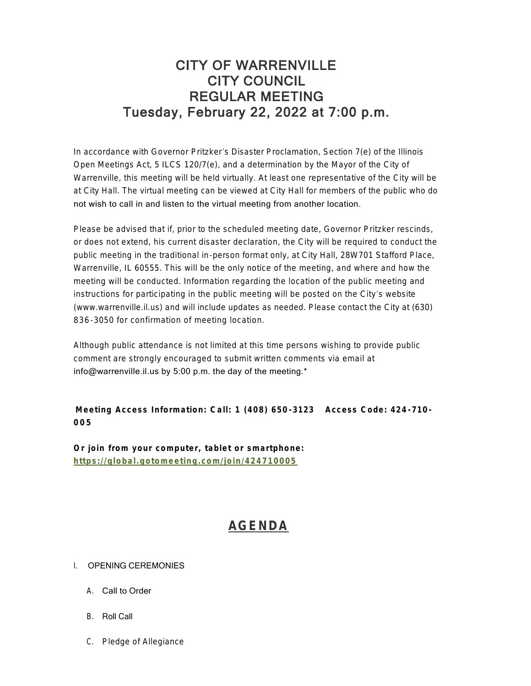## CITY OF WARRENVILLE CITY COUNCIL REGULAR MEETING Tuesday, February 22, 2022 at 7:00 p.m.

In accordance with Governor Pritzker's Disaster Proclamation, Section 7(e) of the Illinois Open Meetings Act, 5 ILCS 120/7(e), and a determination by the Mayor of the City of Warrenville, this meeting will be held virtually. At least one representative of the City will be at City Hall. The virtual meeting can be viewed at City Hall for members of the public who do not wish to call in and listen to the virtual meeting from another location.

Please be advised that if, prior to the scheduled meeting date, Governor Pritzker rescinds, or does not extend, his current disaster declaration, the City will be required to conduct the public meeting in the traditional in-person format only, at City Hall, 28W701 Stafford Place, Warrenville, IL 60555. This will be the only notice of the meeting, and where and how the meeting will be conducted. Information regarding the location of the public meeting and instructions for participating in the public meeting will be posted on the City's website (www.warrenville.il.us) and will include updates as needed. Please contact the City at (630) 836 -3050 for confirmation of meeting location.

Although public attendance is not limited at this time persons wishing to provide public comment are strongly encouraged to submit written comments via email at info@warrenville.il.us by 5:00 p.m. the day of the meeting.\*

## **Meeting Access Information: Call: 1 (408) 650 -3123 Access Code: 424 -710 - 005**

**[Or join from your computer, tablet or smartphone](https://global.gotomeeting.com/join/424710005): https://global.gotomeeting.com/join/424710005**

# **[AGENDA](https://www.warrenville.il.us/DocumentCenter/View/18782/02-22-22--Agenda-Packet-PDF)**

### I. OPENING CEREMONIES

- A. Call to Order
- B. Roll Call
- C. Pledge of Allegiance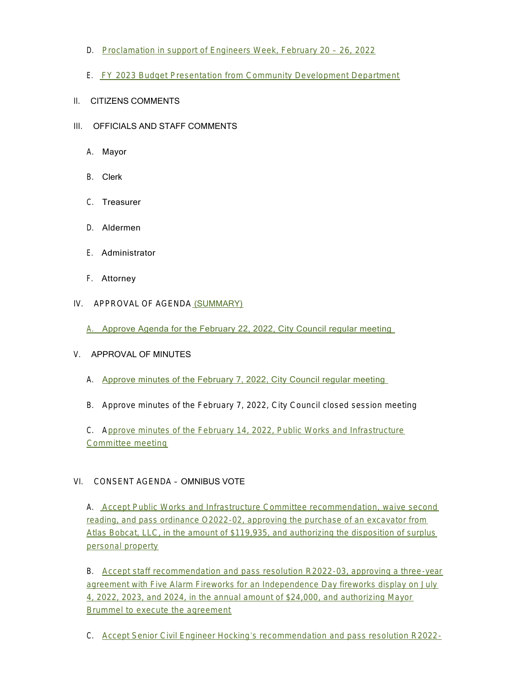- D. [Proclamation in support of Engineers Week, February 20](https://www.warrenville.il.us/DocumentCenter/View/18760/ID-Proclamation---Engineers-Week-2022-PDF)  26, 2022
- E. [FY 2023 Budget Presentation from Community Development Department](https://www.warrenville.il.us/DocumentCenter/View/18761/IE-CD-FY-2023-Work-Plan-and-Budget-Presentation-PDF)
- II. CITIZENS COMMENTS
- III. OFFICIALS AND STAFF COMMENTS
	- A. Mayor
	- B. Clerk
	- C. Treasurer
	- D. Aldermen
	- E. Administrator
	- F. Attorney
- IV. APPROVAL OF AGENDA [\(SUMMARY\)](https://www.warrenville.il.us/DocumentCenter/View/18759/02-22-22-Summary-PDF)
	- [A.](https://www.warrenville.il.us/DocumentCenter/View/18783/02-22-22--Agenda-with-Rev-OMA-Language-PDF) [Approve Agenda for the February 22, 2022, City Council regular meeting](https://www.warrenville.il.us/DocumentCenter/View/18783/02-22-22--Agenda-with-Rev-OMA-Language-PDF)

### V. APPROVAL OF MINUTES

- A. [Approve minutes of the February 7, 2022, City Council regular meeting](https://www.warrenville.il.us/DocumentCenter/View/18762/VA-02-07-22_Council-Regular-Meeting-Minutes-PDF)
- B. Approve minutes of the February 7, 2022, City Council closed session meeting

C. A[pprove minutes of the February 14, 2022, Public Works and Infrastructure](https://www.warrenville.il.us/DocumentCenter/View/18763/VC-02-14-22-PWIC-Minutes-PDF)  Committee meeting

### VI. CONSENT AGENDA – OMNIBUS VOTE

A. [Accept Public Works and Infrastructure Committee recommendation, waive second](https://www.warrenville.il.us/DocumentCenter/View/18764/VIA-O2022-02-Approving-Purchase-of-Excavator-through-Sourcewell-and-Authorizing-Disposition-of-Surplus-Property-PDF)  reading, and pass ordinance O2022-02, approving the purchase of an excavator from Atlas Bobcat, LLC, in the amount of \$119,935, and authorizing the disposition of surplus personal property

B. [Accept staff recommendation and pass resolution R2022-03, approving a three-year](https://www.warrenville.il.us/DocumentCenter/View/18765/VIB-R2022-03-Approving-Agreement-with-Five-Alarm-Fireworks-for-July-4-2022-2024-Fireworks-Displays-PDF)  agreement with Five Alarm Fireworks for an Independence Day fireworks display on July 4, 2022, 2023, and 2024, in the annual amount of \$24,000, and authorizing Mayor Brummel to execute the agreement

C. Accept Senior Civil Engineer Hocking's recommendation and pass resolution R2022-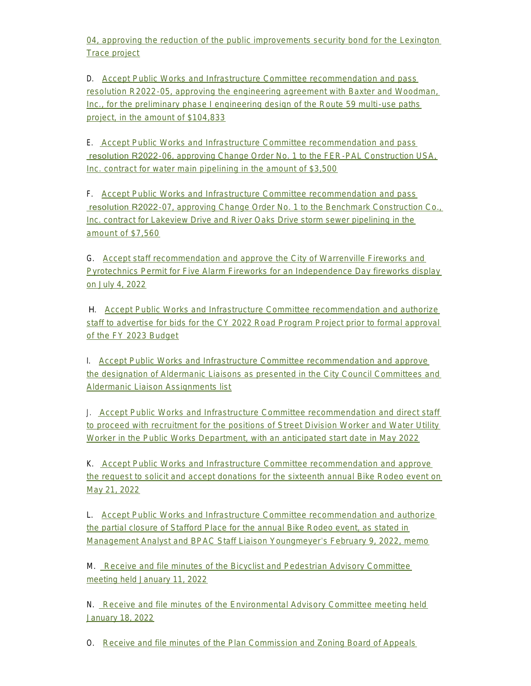04, approving the reduction of the public improvements security bond for the Lexington Trace project

D. Accept Public Works and Infrastructure Committee recommendation and pass res[olution R2022-05, approving the engineering agreement with Baxter and Woodman,](https://www.warrenville.il.us/DocumentCenter/View/18767/VID-R2022-05-Approving-Agreement-with-Baxter-Woodman-for-Phase-I-Engineering-Route-59-Paths-PDF)  Inc., for the preliminary phase I engineering design of the Route 59 multi-use paths project, in the amount of \$104,833

E. [Accept Public Works and Infrastructure Committee recommendation and pass](https://www.warrenville.il.us/DocumentCenter/View/18768/VIE-R2022-06-Approving-Change-Order-No-1-to-Contract-with-FER-PAL-for-Watermain-Lining-PDF)  resolution R2022-06, approving Change Order No. 1 to the FER-PAL Construction USA, Inc. contract for water main pipelining in the amount of \$3,500

F. [Accept Public Works and Infrastructure Committee recommendation and pass](https://www.warrenville.il.us/DocumentCenter/View/18769/VIF-R2022-07-Approving-Change-Order-No-1-to-Contract-with-Benchmark-Construction-Co-Inc-for-Sewer-Pipelining-PDF)  resolution R2022-07, approving Change Order No. 1 to the Benchmark Construction Co., Inc. contract for Lakeview Drive and River Oaks Drive storm sewer pipelining in the amount of \$7,560

G. Accept staff recommendation and approve the City of Warrenville Fireworks and Pyr[otechnics Permit for Five Alarm Fireworks for an Independence Day fireworks display](https://www.warrenville.il.us/DocumentCenter/View/18770/VIG-Fireworks-Permit-Application-2022---5-Alarm-Fireworks-Redacted-PDF)  on July 4, 2022

 H. Accept Public Works and Infrastructure Committee recommendation and authorize staff [to advertise for bids for the CY 2022 Road Program Project prior to formal approval](https://www.warrenville.il.us/DocumentCenter/View/18771/VIH-CY2022-Road-Program-Req-Auth-Bid-Memo-2022-02-09-PDF)  of the FY 2023 Budget

I. Accept Public Works and Infrastructure Committee recommendation and approve th[e designation of Aldermanic Liaisons as presented in the City Council Committees and](https://www.warrenville.il.us/DocumentCenter/View/18772/VII-CC-Committee-List-021422-PDF)  Aldermanic Liaison Assignments list

J. [Accept Public Works and Infrastructure Committee recommendation and direct staff](https://www.warrenville.il.us/DocumentCenter/View/18773/VIJ-PW-Worker-Recruitment-Memo-2022-02-09-PDF)  to proceed with recruitment for the positions of Street Division Worker and Water Utility Worker in the Public Works Department, with an anticipated start date in May 2022

K. Accept Public Works and Infrastructure Committee recommendation and approve the [request to solicit and accept donations for the sixteenth annual Bike Rodeo event on](https://www.warrenville.il.us/DocumentCenter/View/18774/VIK-Solicitation-for-Bike-Rodeo-Event-PDF)  May 21, 2022

L. [Accept Public Works and Infrastructure Committee recommendation and authorize](https://www.warrenville.il.us/DocumentCenter/View/18775/VIL-Bike-Rodeo-Partial-Street-Closures-Request-PDF)  the partial closure of Stafford Place for the annual Bike Rodeo event, as stated in Management Analyst and BPAC Staff Liaison Youngmeyer's February 9, 2022, memo

M. [Receive and file minutes of the Bicyclist and Pedestrian Advisory Committee](https://www.warrenville.il.us/DocumentCenter/View/18776/VIM-BPAC-Meeting-Minutes-01-11-22-PDF)  meeting held January 11, 2022

N. [Receive and file minutes of the Environmental Advisory Committee meeting held](https://www.warrenville.il.us/DocumentCenter/View/18777/VIN-01-18-22-EAC-Minutes-PDF)  January 18, 2022

O. [Receive and file minutes of the Plan Commission and Zoning Board of Appeals](https://www.warrenville.il.us/DocumentCenter/View/18778/VIO-02-10-22-Draft-PCZBA-Minutes-PDF)